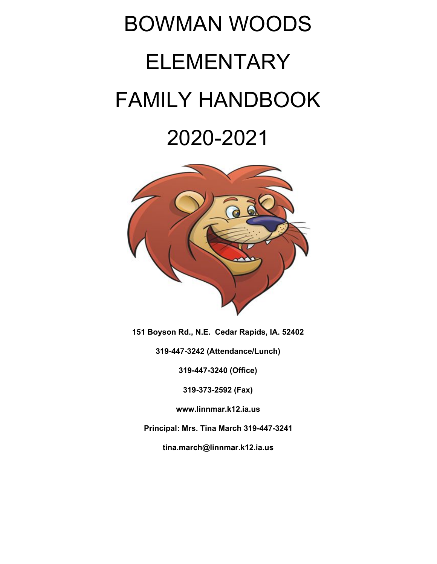# BOWMAN WOODS ELEMENTARY FAMILY HANDBOOK 2020-2021



**151 Boyson Rd., N.E. Cedar Rapids, IA. 52402**

**319-447-3242 (Attendance/Lunch)**

**319-447-3240 (Office)**

**319-373-2592 (Fax)**

**www.linnmar.k12.ia.us**

**Principal: Mrs. Tina March 319-447-3241**

**tina.march@linnmar.k12.ia.us**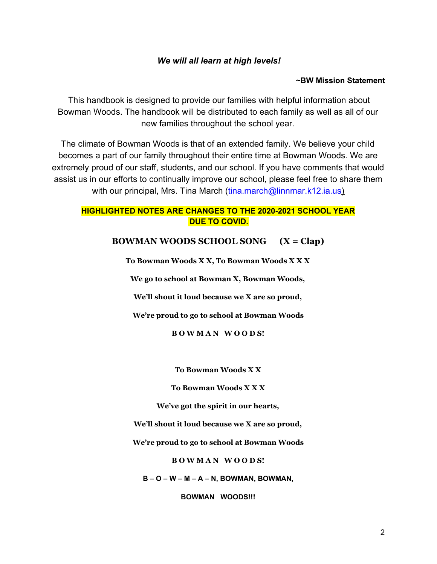#### *We will all learn at high levels!*

#### **~BW Mission Statement**

This handbook is designed to provide our families with helpful information about Bowman Woods. The handbook will be distributed to each family as well as all of our new families throughout the school year.

The climate of Bowman Woods is that of an extended family. We believe your child becomes a part of our family throughout their entire time at Bowman Woods. We are extremely proud of our staff, students, and our school. If you have comments that would assist us in our efforts to continually improve our school, please feel free to share them with our principal, Mrs. Tina March (tina.march@linnmar.k12.ia.us)

#### **HIGHLIGHTED NOTES ARE CHANGES TO THE 2020-2021 SCHOOL YEAR DUE TO COVID.**

#### **BOWMAN WOODS SCHOOL SONG (X = Clap)**

**To Bowman Woods X X, To Bowman Woods X X X**

**We go to school at Bowman X, Bowman Woods,**

**We'll shout it loud because we X are so proud,**

**We're proud to go to school at Bowman Woods**

**B O W M A N W O O D S!**

**To Bowman Woods X X**

**To Bowman Woods X X X**

**We've got the spirit in our hearts,**

**We'll shout it loud because we X are so proud,**

**We're proud to go to school at Bowman Woods**

**B O W M A N W O O D S!**

**B – O – W – M – A – N, BOWMAN, BOWMAN,**

**BOWMAN WOODS!!!**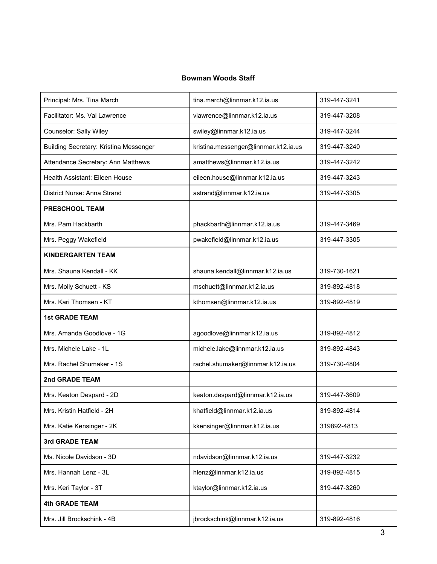#### **Bowman Woods Staff**

| Principal: Mrs. Tina March             | tina.march@linnmar.k12.ia.us         | 319-447-3241 |
|----------------------------------------|--------------------------------------|--------------|
| Facilitator: Ms. Val Lawrence          | vlawrence@linnmar.k12.ia.us          | 319-447-3208 |
| Counselor: Sally Wiley                 | swiley@linnmar.k12.ia.us             | 319-447-3244 |
| Building Secretary: Kristina Messenger | kristina.messenger@linnmar.k12.ia.us | 319-447-3240 |
| Attendance Secretary: Ann Matthews     | amatthews@linnmar.k12.ia.us          | 319-447-3242 |
| Health Assistant: Eileen House         | eileen.house@linnmar.k12.ia.us       | 319-447-3243 |
| District Nurse: Anna Strand            | astrand@linnmar.k12.ia.us            | 319-447-3305 |
| <b>PRESCHOOL TEAM</b>                  |                                      |              |
| Mrs. Pam Hackbarth                     | phackbarth@linnmar.k12.ia.us         | 319-447-3469 |
| Mrs. Peggy Wakefield                   | pwakefield@linnmar.k12.ia.us         | 319-447-3305 |
| <b>KINDERGARTEN TEAM</b>               |                                      |              |
| Mrs. Shauna Kendall - KK               | shauna.kendall@linnmar.k12.ia.us     | 319-730-1621 |
| Mrs. Molly Schuett - KS                | mschuett@linnmar.k12.ia.us           | 319-892-4818 |
| Mrs. Kari Thomsen - KT                 | kthomsen@linnmar.k12.ia.us           | 319-892-4819 |
| <b>1st GRADE TEAM</b>                  |                                      |              |
| Mrs. Amanda Goodlove - 1G              | agoodlove@linnmar.k12.ia.us          | 319-892-4812 |
| Mrs. Michele Lake - 1L                 | michele.lake@linnmar.k12.ia.us       | 319-892-4843 |
| Mrs. Rachel Shumaker - 1S              | rachel.shumaker@linnmar.k12.ia.us    | 319-730-4804 |
| 2nd GRADE TEAM                         |                                      |              |
| Mrs. Keaton Despard - 2D               | keaton.despard@linnmar.k12.ia.us     | 319-447-3609 |
| Mrs. Kristin Hatfield - 2H             | khatfield@linnmar.k12.ia.us          | 319-892-4814 |
| Mrs. Katie Kensinger - 2K              | kkensinger@linnmar.k12.ia.us         | 319892-4813  |
| 3rd GRADE TEAM                         |                                      |              |
| Ms. Nicole Davidson - 3D               | ndavidson@linnmar.k12.ia.us          | 319-447-3232 |
| Mrs. Hannah Lenz - 3L                  | hlenz@linnmar.k12.ia.us              | 319-892-4815 |
| Mrs. Keri Taylor - 3T                  | ktaylor@linnmar.k12.ia.us            | 319-447-3260 |
|                                        |                                      |              |
| <b>4th GRADE TEAM</b>                  |                                      |              |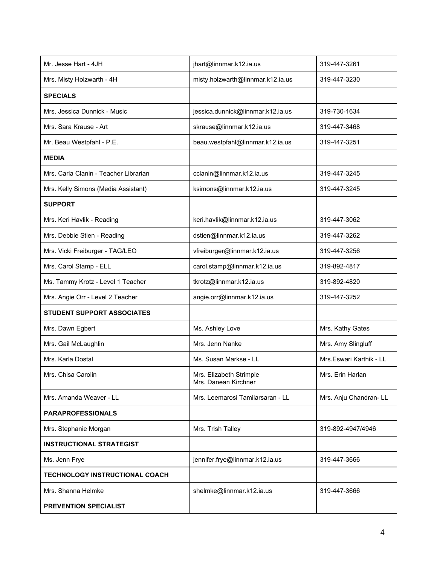| Mr. Jesse Hart - 4JH                  | jhart@linnmar.k12.ia.us                         | 319-447-3261            |
|---------------------------------------|-------------------------------------------------|-------------------------|
| Mrs. Misty Holzwarth - 4H             | misty.holzwarth@linnmar.k12.ia.us               | 319-447-3230            |
| <b>SPECIALS</b>                       |                                                 |                         |
| Mrs. Jessica Dunnick - Music          | jessica.dunnick@linnmar.k12.ia.us               | 319-730-1634            |
| Mrs. Sara Krause - Art                | skrause@linnmar.k12.ia.us                       | 319-447-3468            |
| Mr. Beau Westpfahl - P.E.             | beau.westpfahl@linnmar.k12.ia.us                | 319-447-3251            |
| <b>MEDIA</b>                          |                                                 |                         |
| Mrs. Carla Clanin - Teacher Librarian | cclanin@linnmar.k12.ia.us                       | 319-447-3245            |
| Mrs. Kelly Simons (Media Assistant)   | ksimons@linnmar.k12.ia.us                       | 319-447-3245            |
| <b>SUPPORT</b>                        |                                                 |                         |
| Mrs. Keri Havlik - Reading            | keri.havlik@linnmar.k12.ia.us                   | 319-447-3062            |
| Mrs. Debbie Stien - Reading           | dstien@linnmar.k12.ia.us                        | 319-447-3262            |
| Mrs. Vicki Freiburger - TAG/LEO       | vfreiburger@linnmar.k12.ia.us                   | 319-447-3256            |
| Mrs. Carol Stamp - ELL                | carol.stamp@linnmar.k12.ia.us                   | 319-892-4817            |
| Ms. Tammy Krotz - Level 1 Teacher     | tkrotz@linnmar.k12.ia.us                        | 319-892-4820            |
| Mrs. Angie Orr - Level 2 Teacher      | angie.orr@linnmar.k12.ia.us                     | 319-447-3252            |
| <b>STUDENT SUPPORT ASSOCIATES</b>     |                                                 |                         |
| Mrs. Dawn Egbert                      | Ms. Ashley Love                                 | Mrs. Kathy Gates        |
| Mrs. Gail McLaughlin                  | Mrs. Jenn Nanke                                 | Mrs. Amy Slingluff      |
| Mrs. Karla Dostal                     | Ms. Susan Markse - LL                           | Mrs.Eswari Karthik - LL |
| Mrs. Chisa Carolin                    | Mrs. Elizabeth Strimple<br>Mrs. Danean Kirchner | Mrs. Erin Harlan        |
| Mrs. Amanda Weaver - LL               | Mrs. Leemarosi Tamilarsaran - LL                | Mrs. Anju Chandran- LL  |
| <b>PARAPROFESSIONALS</b>              |                                                 |                         |
| Mrs. Stephanie Morgan                 | Mrs. Trish Talley                               | 319-892-4947/4946       |
| <b>INSTRUCTIONAL STRATEGIST</b>       |                                                 |                         |
| Ms. Jenn Frye                         | jennifer.frye@linnmar.k12.ia.us                 | 319-447-3666            |
| <b>TECHNOLOGY INSTRUCTIONAL COACH</b> |                                                 |                         |
| Mrs. Shanna Helmke                    | shelmke@linnmar.k12.ia.us                       | 319-447-3666            |
| <b>PREVENTION SPECIALIST</b>          |                                                 |                         |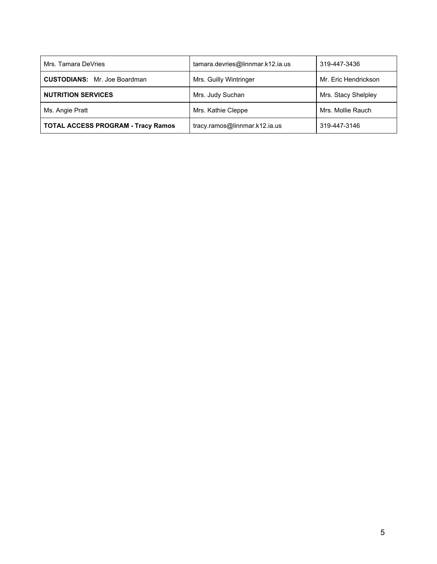| Mrs. Tamara DeVries                       | tamara.devries@linnmar.k12.ia.us | 319-447-3436         |
|-------------------------------------------|----------------------------------|----------------------|
| <b>CUSTODIANS:</b> Mr. Joe Boardman       | Mrs. Guilly Wintringer           | Mr. Eric Hendrickson |
| <b>NUTRITION SERVICES</b>                 | Mrs. Judy Suchan                 | Mrs. Stacy Shelpley  |
| Ms. Angie Pratt                           | Mrs. Kathie Cleppe               | Mrs. Mollie Rauch    |
| <b>TOTAL ACCESS PROGRAM - Tracy Ramos</b> | tracy.ramos@linnmar.k12.ia.us    | 319-447-3146         |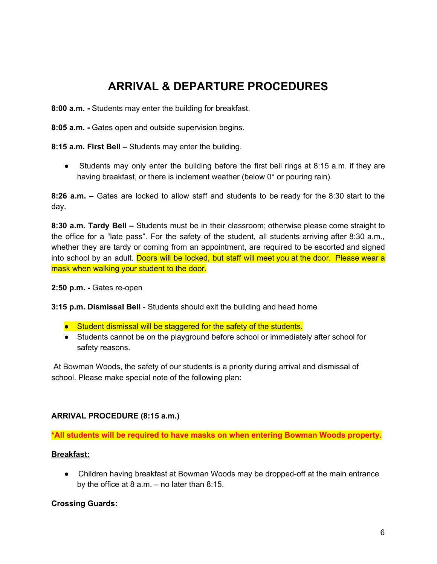## **ARRIVAL & DEPARTURE PROCEDURES**

**8:00 a.m. -** Students may enter the building for breakfast.

**8:05 a.m. -** Gates open and outside supervision begins.

**8:15 a.m. First Bell –** Students may enter the building.

• Students may only enter the building before the first bell rings at 8:15 a.m. if they are having breakfast, or there is inclement weather (below 0° or pouring rain).

**8:26 a.m. –** Gates are locked to allow staff and students to be ready for the 8:30 start to the day.

**8:30 a.m. Tardy Bell –** Students must be in their classroom; otherwise please come straight to the office for a "late pass". For the safety of the student, all students arriving after 8:30 a.m., whether they are tardy or coming from an appointment, are required to be escorted and signed into school by an adult. Doors will be locked, but staff will meet you at the door. Please wear a mask when walking your student to the door.

**2:50 p.m. -** Gates re-open

**3:15 p.m. Dismissal Bell** - Students should exit the building and head home

- Student dismissal will be staggered for the safety of the students.
- Students cannot be on the playground before school or immediately after school for safety reasons.

At Bowman Woods, the safety of our students is a priority during arrival and dismissal of school. Please make special note of the following plan:

#### **ARRIVAL PROCEDURE (8:15 a.m.)**

**\*All students will be required to have masks on when entering Bowman Woods property.**

#### **Breakfast:**

● Children having breakfast at Bowman Woods may be dropped-off at the main entrance by the office at  $8$  a.m.  $-$  no later than  $8:15$ .

#### **Crossing Guards:**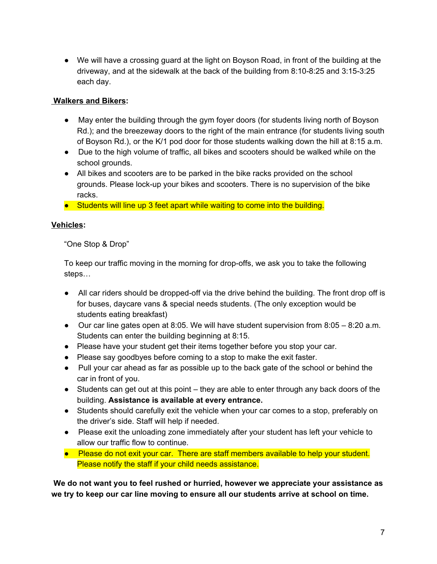● We will have a crossing guard at the light on Boyson Road, in front of the building at the driveway, and at the sidewalk at the back of the building from 8:10-8:25 and 3:15-3:25 each day.

#### **Walkers and Bikers:**

- May enter the building through the gym foyer doors (for students living north of Boyson Rd.); and the breezeway doors to the right of the main entrance (for students living south of Boyson Rd.), or the K/1 pod door for those students walking down the hill at 8:15 a.m.
- Due to the high volume of traffic, all bikes and scooters should be walked while on the school grounds.
- All bikes and scooters are to be parked in the bike racks provided on the school grounds. Please lock-up your bikes and scooters. There is no supervision of the bike racks.
- Students will line up 3 feet apart while waiting to come into the building.

#### **Vehicles:**

"One Stop & Drop"

To keep our traffic moving in the morning for drop-offs, we ask you to take the following steps…

- All car riders should be dropped-off via the drive behind the building. The front drop off is for buses, daycare vans & special needs students. (The only exception would be students eating breakfast)
- Our car line gates open at 8:05. We will have student supervision from 8:05 8:20 a.m. Students can enter the building beginning at 8:15.
- Please have your student get their items together before you stop your car.
- Please say goodbyes before coming to a stop to make the exit faster.
- Pull your car ahead as far as possible up to the back gate of the school or behind the car in front of you.
- Students can get out at this point they are able to enter through any back doors of the building. **Assistance is available at every entrance.**
- Students should carefully exit the vehicle when your car comes to a stop, preferably on the driver's side. Staff will help if needed.
- Please exit the unloading zone immediately after your student has left your vehicle to allow our traffic flow to continue.
- Please do not exit your car. There are staff members available to help your student. Please notify the staff if your child needs assistance.

**We do not want you to feel rushed or hurried, however we appreciate your assistance as we try to keep our car line moving to ensure all our students arrive at school on time.**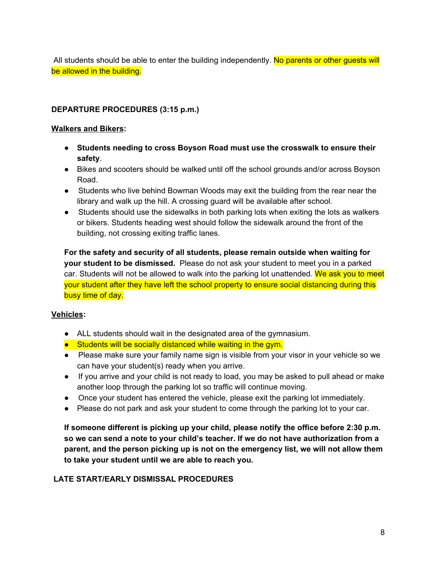All students should be able to enter the building independently. No parents or other quests will be allowed in the building.

#### **DEPARTURE PROCEDURES (3:15 p.m.)**

#### **Walkers and Bikers:**

- **Students needing to cross Boyson Road must use the crosswalk to ensure their safety**.
- Bikes and scooters should be walked until off the school grounds and/or across Boyson Road.
- Students who live behind Bowman Woods may exit the building from the rear near the library and walk up the hill. A crossing guard will be available after school.
- Students should use the sidewalks in both parking lots when exiting the lots as walkers or bikers. Students heading west should follow the sidewalk around the front of the building, not crossing exiting traffic lanes.

**For the safety and security of all students, please remain outside when waiting for your student to be dismissed.** Please do not ask your student to meet you in a parked car. Students will not be allowed to walk into the parking lot unattended. We ask you to meet your student after they have left the school property to ensure social distancing during this busy time of day.

#### **Vehicles:**

- ALL students should wait in the designated area of the gymnasium.
- Students will be socially distanced while waiting in the gym.
- Please make sure your family name sign is visible from your visor in your vehicle so we can have your student(s) ready when you arrive.
- If you arrive and your child is not ready to load, you may be asked to pull ahead or make another loop through the parking lot so traffic will continue moving.
- Once your student has entered the vehicle, please exit the parking lot immediately.
- Please do not park and ask your student to come through the parking lot to your car.

**If someone different is picking up your child, please notify the office before 2:30 p.m. so we can send a note to your child's teacher. If we do not have authorization from a parent, and the person picking up is not on the emergency list, we will not allow them to take your student until we are able to reach you.**

#### **LATE START/EARLY DISMISSAL PROCEDURES**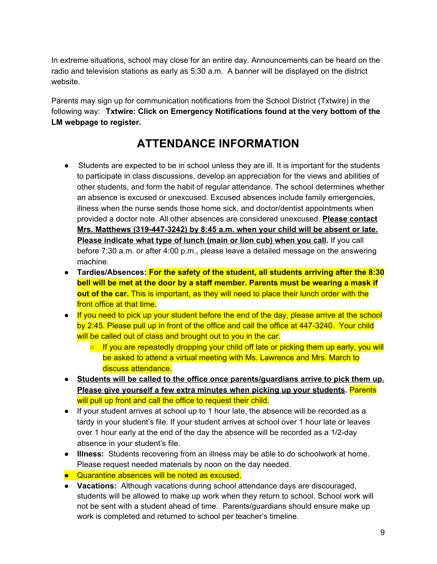In extreme situations, school may close for an entire day. Announcements can be heard on the radio and television stations as early as 5:30 a.m. A banner will be displayed on the district website.

Parents may sign up for communication notifications from the School District (Txtwire) in the following way: **Txtwire: Click on Emergency Notifications found at the very bottom of the LM webpage to register.**

## **ATTENDANCE INFORMATION**

- Students are expected to be in school unless they are ill. It is important for the students to participate in class discussions, develop an appreciation for the views and abilities of other students, and form the habit of regular attendance. The school determines whether an absence is excused or unexcused. Excused absences include family emergencies, illness when the nurse sends those home sick, and doctor/dentist appointments when provided a doctor note. All other absences are considered unexcused. **Please contact Mrs. Matthews (319-447-3242) by 8:45 a.m. when your child will be absent or late. Please indicate what type of lunch (main or lion cub) when you call.** If you call before 7:30 a.m. or after 4:00 p.m., please leave a detailed message on the answering machine.
- **Tardies/Absences: For the safety of the student, all students arriving after the 8:30 bell will be met at the door by a staff member. Parents must be wearing a mask if out of the car.** This is important, as they will need to place their lunch order with the front office at that time.
- If you need to pick up your student before the end of the day, please arrive at the school by 2:45. Please pull up in front of the office and call the office at 447-3240. Your child will be called out of class and brought out to you in the car.
	- If you are repeatedly dropping your child off late or picking them up early, you will be asked to attend a virtual meeting with Ms. Lawrence and Mrs. March to discuss attendance.
- **Students will be called to the office once parents/guardians arrive to pick them up. Please give yourself a few extra minutes when picking up your students.** Parents will pull up front and call the office to request their child.
- If your student arrives at school up to 1 hour late, the absence will be recorded as a tardy in your student's file. If your student arrives at school over 1 hour late or leaves over 1 hour early at the end of the day the absence will be recorded as a 1/2-day absence in your student's file.
- **Illness:** Students recovering from an illness may be able to do schoolwork at home. Please request needed materials by noon on the day needed.
- Quarantine absences will be noted as excused.
- **Vacations:** Although vacations during school attendance days are discouraged, students will be allowed to make up work when they return to school. School work will not be sent with a student ahead of time. Parents/guardians should ensure make up work is completed and returned to school per teacher's timeline.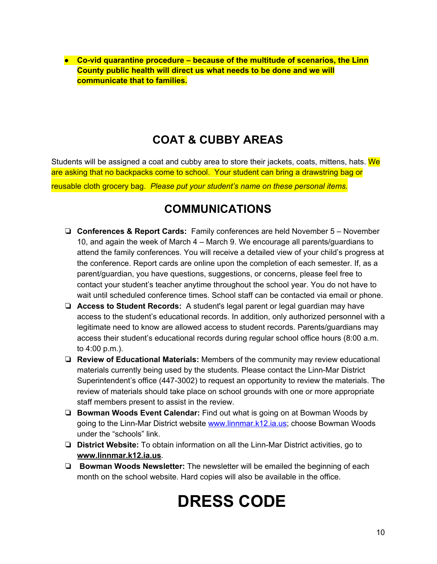**● Co-vid quarantine procedure – because of the multitude of scenarios, the Linn County public health will direct us what needs to be done and we will communicate that to families.**

## **COAT & CUBBY AREAS**

Students will be assigned a coat and cubby area to store their jackets, coats, mittens, hats. We are asking that no backpacks come to school. Your student can bring a drawstring bag or reusable cloth grocery bag. *Please put your student's name on these personal items.*

### **COMMUNICATIONS**

- ❏ **Conferences & Report Cards:** Family conferences are held November 5 November 10, and again the week of March 4 – March 9. We encourage all parents/guardians to attend the family conferences. You will receive a detailed view of your child's progress at the conference. Report cards are online upon the completion of each semester. If, as a parent/guardian, you have questions, suggestions, or concerns, please feel free to contact your student's teacher anytime throughout the school year. You do not have to wait until scheduled conference times. School staff can be contacted via email or phone.
- ❏ **Access to Student Records:** A student's legal parent or legal guardian may have access to the student's educational records. In addition, only authorized personnel with a legitimate need to know are allowed access to student records. Parents/guardians may access their student's educational records during regular school office hours (8:00 a.m. to 4:00 p.m.).
- ❏ **Review of Educational Materials:** Members of the community may review educational materials currently being used by the students. Please contact the Linn-Mar District Superintendent's office (447-3002) to request an opportunity to review the materials. The review of materials should take place on school grounds with one or more appropriate staff members present to assist in the review.
- ❏ **Bowman Woods Event Calendar:** Find out what is going on at Bowman Woods by going to the Linn-Mar District website [www.linnmar.k12.ia.us;](http://www.linnmar.k12.ia.us/) choose Bowman Woods under the "schools" link.
- ❏ **District Website:** To obtain information on all the Linn-Mar District activities, go to **www.linnmar.k12.ia.us**.
- ❏ **Bowman Woods Newsletter:** The newsletter will be emailed the beginning of each month on the school website. Hard copies will also be available in the office.

## **DRESS CODE**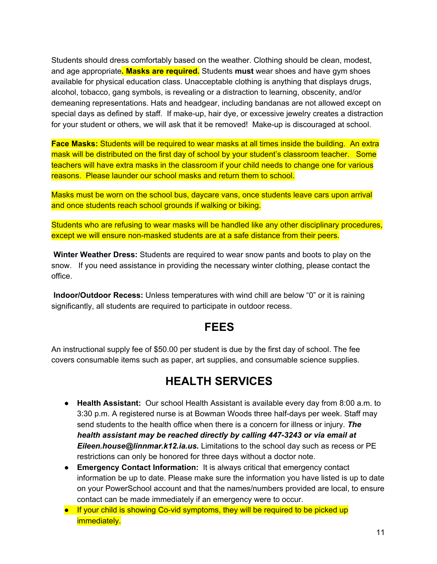Students should dress comfortably based on the weather. Clothing should be clean, modest, and age appropriate**. Masks are required.** Students **must** wear shoes and have gym shoes available for physical education class. Unacceptable clothing is anything that displays drugs, alcohol, tobacco, gang symbols, is revealing or a distraction to learning, obscenity, and/or demeaning representations. Hats and headgear, including bandanas are not allowed except on special days as defined by staff. If make-up, hair dye, or excessive jewelry creates a distraction for your student or others, we will ask that it be removed! Make-up is discouraged at school.

**Face Masks:** Students will be required to wear masks at all times inside the building. An extra mask will be distributed on the first day of school by your student's classroom teacher. Some teachers will have extra masks in the classroom if your child needs to change one for various reasons. Please launder our school masks and return them to school.

Masks must be worn on the school bus, daycare vans, once students leave cars upon arrival and once students reach school grounds if walking or biking.

Students who are refusing to wear masks will be handled like any other disciplinary procedures, except we will ensure non-masked students are at a safe distance from their peers.

**Winter Weather Dress:** Students are required to wear snow pants and boots to play on the snow. If you need assistance in providing the necessary winter clothing, please contact the office.

**Indoor/Outdoor Recess:** Unless temperatures with wind chill are below "0" or it is raining significantly, all students are required to participate in outdoor recess.

#### **FEES**

An instructional supply fee of \$50.00 per student is due by the first day of school. The fee covers consumable items such as paper, art supplies, and consumable science supplies.

#### **HEALTH SERVICES**

- **Health Assistant:** Our school Health Assistant is available every day from 8:00 a.m. to 3:30 p.m. A registered nurse is at Bowman Woods three half-days per week. Staff may send students to the health office when there is a concern for illness or injury. *The health assistant may be reached directly by calling 447-3243 or via email at Eileen.house@linnmar.k12.ia.us.* Limitations to the school day such as recess or PE restrictions can only be honored for three days without a doctor note.
- **Emergency Contact Information:** It is always critical that emergency contact information be up to date. Please make sure the information you have listed is up to date on your PowerSchool account and that the names/numbers provided are local, to ensure contact can be made immediately if an emergency were to occur.
- If your child is showing Co-vid symptoms, they will be required to be picked up immediately.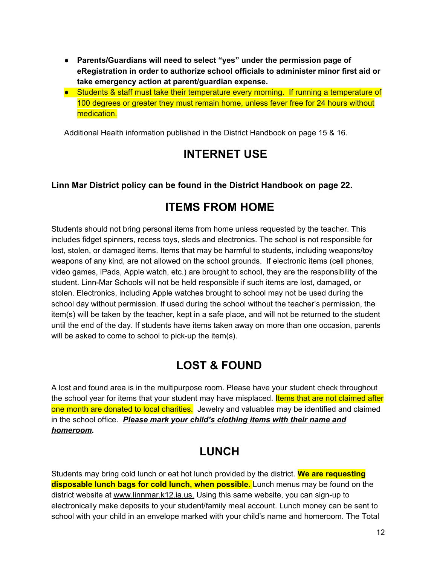- **● Parents/Guardians will need to select "yes" under the permission page of eRegistration in order to authorize school officials to administer minor first aid or take emergency action at parent/guardian expense.**
- Students & staff must take their temperature every morning. If running a temperature of 100 degrees or greater they must remain home, unless fever free for 24 hours without medication.

Additional Health information published in the District Handbook on page 15 & 16.

#### **INTERNET USE**

#### **Linn Mar District policy can be found in the District Handbook on page 22.**

#### **ITEMS FROM HOME**

Students should not bring personal items from home unless requested by the teacher. This includes fidget spinners, recess toys, sleds and electronics. The school is not responsible for lost, stolen, or damaged items. Items that may be harmful to students, including weapons/toy weapons of any kind, are not allowed on the school grounds. If electronic items (cell phones, video games, iPads, Apple watch, etc.) are brought to school, they are the responsibility of the student. Linn-Mar Schools will not be held responsible if such items are lost, damaged, or stolen. Electronics, including Apple watches brought to school may not be used during the school day without permission. If used during the school without the teacher's permission, the item(s) will be taken by the teacher, kept in a safe place, and will not be returned to the student until the end of the day. If students have items taken away on more than one occasion, parents will be asked to come to school to pick-up the item(s).

#### **LOST & FOUND**

A lost and found area is in the multipurpose room. Please have your student check throughout the school year for items that your student may have misplaced. Items that are not claimed after one month are donated to local charities. Jewelry and valuables may be identified and claimed in the school office. *Please mark your child's clothing items with their name and homeroom.*

## **LUNCH**

Students may bring cold lunch or eat hot lunch provided by the district. **We are requesting disposable lunch bags for cold lunch, when possible**. Lunch menus may be found on the district website at www.linnmar.k12.ia.us. Using this same website, you can sign-up to electronically make deposits to your student/family meal account. Lunch money can be sent to school with your child in an envelope marked with your child's name and homeroom. The Total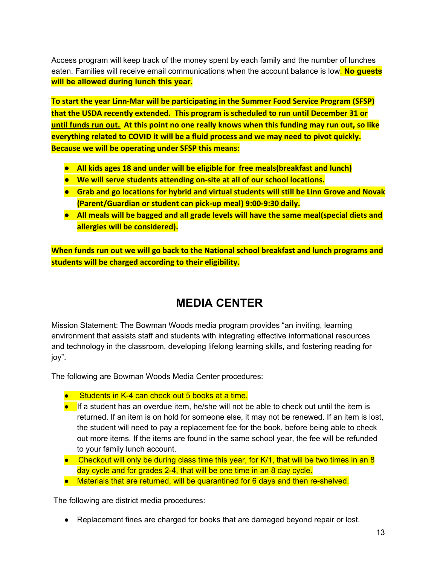Access program will keep track of the money spent by each family and the number of lunches eaten. Families will receive email communications when the account balance is low. **No guests will be allowed during lunch this year.**

**To start the year Linn-Mar will be participating in the Summer Food Service Program (SFSP) that the USDA recently extended. This program is scheduled to run until December 31 or until funds run out. At this point no one really knows when this funding may run out, so like everything related to COVID it will be a fluid process and we may need to pivot quickly. Because we will be operating under SFSP this means:**

- **● All kids ages 18 and under will be eligible for free meals(breakfast and lunch)**
- **● We will serve students attending on-site at all of our school locations.**
- **● Grab and go locations for hybrid and virtual students will still be Linn Grove and Novak (Parent/Guardian or student can pick-up meal) 9:00-9:30 daily.**
- **● All meals will be bagged and all grade levels will have the same meal(special diets and allergies will be considered).**

**When funds run out we will go back to the National school breakfast and lunch programs and students will be charged according to their eligibility.**

## **MEDIA CENTER**

Mission Statement: The Bowman Woods media program provides "an inviting, learning environment that assists staff and students with integrating effective informational resources and technology in the classroom, developing lifelong learning skills, and fostering reading for joy".

The following are Bowman Woods Media Center procedures:

- Students in K-4 can check out 5 books at a time.
- If a student has an overdue item, he/she will not be able to check out until the item is returned. If an item is on hold for someone else, it may not be renewed. If an item is lost, the student will need to pay a replacement fee for the book, before being able to check out more items. If the items are found in the same school year, the fee will be refunded to your family lunch account.
- $\bullet$  Checkout will only be during class time this year, for K/1, that will be two times in an 8 day cycle and for grades 2-4, that will be one time in an 8 day cycle.
- Materials that are returned, will be quarantined for 6 days and then re-shelved.

The following are district media procedures:

● Replacement fines are charged for books that are damaged beyond repair or lost.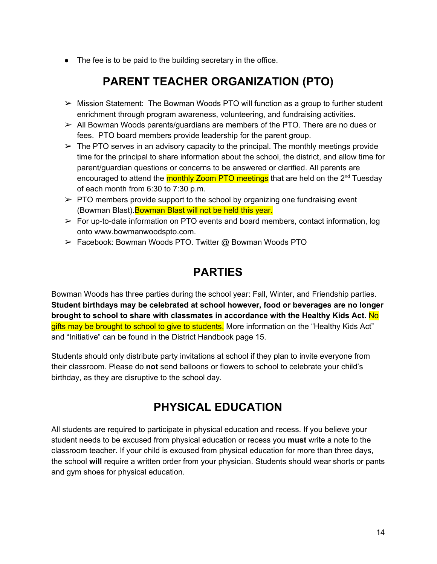● The fee is to be paid to the building secretary in the office.

## **PARENT TEACHER ORGANIZATION (PTO)**

- $\triangleright$  Mission Statement: The Bowman Woods PTO will function as a group to further student enrichment through program awareness, volunteering, and fundraising activities.
- $\triangleright$  All Bowman Woods parents/guardians are members of the PTO. There are no dues or fees. PTO board members provide leadership for the parent group.
- $\triangleright$  The PTO serves in an advisory capacity to the principal. The monthly meetings provide time for the principal to share information about the school, the district, and allow time for parent/guardian questions or concerns to be answered or clarified. All parents are encouraged to attend the monthly Zoom PTO meetings that are held on the 2<sup>nd</sup> Tuesday of each month from 6:30 to 7:30 p.m.
- $\triangleright$  PTO members provide support to the school by organizing one fundraising event (Bowman Blast). Bowman Blast will not be held this year.
- $\triangleright$  For up-to-date information on PTO events and board members, contact information, log onto [www.bowmanwoodspto.com.](http://www.bowmanwoodspto.com/)
- ➢ Facebook: Bowman Woods PTO. Twitter @ Bowman Woods PTO

## **PARTIES**

Bowman Woods has three parties during the school year: Fall, Winter, and Friendship parties. **Student birthdays may be celebrated at school however, food or beverages are no longer brought to school to share with classmates in accordance with the Healthy Kids Act.** No gifts may be brought to school to give to students. More information on the "Healthy Kids Act" and "Initiative" can be found in the District Handbook page 15.

Students should only distribute party invitations at school if they plan to invite everyone from their classroom. Please do **not** send balloons or flowers to school to celebrate your child's birthday, as they are disruptive to the school day.

## **PHYSICAL EDUCATION**

All students are required to participate in physical education and recess. If you believe your student needs to be excused from physical education or recess you **must** write a note to the classroom teacher. If your child is excused from physical education for more than three days, the school **will** require a written order from your physician. Students should wear shorts or pants and gym shoes for physical education.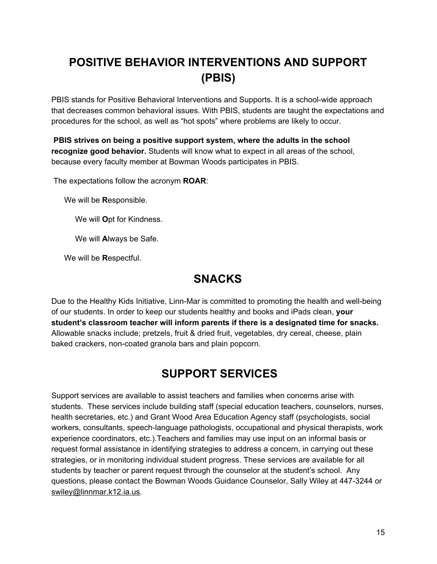## **POSITIVE BEHAVIOR INTERVENTIONS AND SUPPORT (PBIS)**

PBIS stands for Positive Behavioral Interventions and Supports. It is a school-wide approach that decreases common behavioral issues. With PBIS, students are taught the expectations and procedures for the school, as well as "hot spots" where problems are likely to occur.

**PBIS strives on being a positive support system, where the adults in the school recognize good behavior.** Students will know what to expect in all areas of the school, because every faculty member at Bowman Woods participates in PBIS.

The expectations follow the acronym **ROAR**:

We will be **R**esponsible.

We will **O**pt for Kindness.

We will **A**lways be Safe.

We will be **R**espectful.

## **SNACKS**

Due to the Healthy Kids Initiative, Linn-Mar is committed to promoting the health and well-being of our students. In order to keep our students healthy and books and iPads clean, **your student's classroom teacher will inform parents if there is a designated time for snacks.** Allowable snacks include; pretzels, fruit & dried fruit, vegetables, dry cereal, cheese, plain baked crackers, non-coated granola bars and plain popcorn.

## **SUPPORT SERVICES**

Support services are available to assist teachers and families when concerns arise with students. These services include building staff (special education teachers, counselors, nurses, health secretaries, etc.) and Grant Wood Area Education Agency staff (psychologists, social workers, consultants, speech-language pathologists, occupational and physical therapists, work experience coordinators, etc.).Teachers and families may use input on an informal basis or request formal assistance in identifying strategies to address a concern, in carrying out these strategies, or in monitoring individual student progress. These services are available for all students by teacher or parent request through the counselor at the student's school. Any questions, please contact the Bowman Woods Guidance Counselor, Sally Wiley at 447-3244 or swiley@linnmar.k12.ia.us.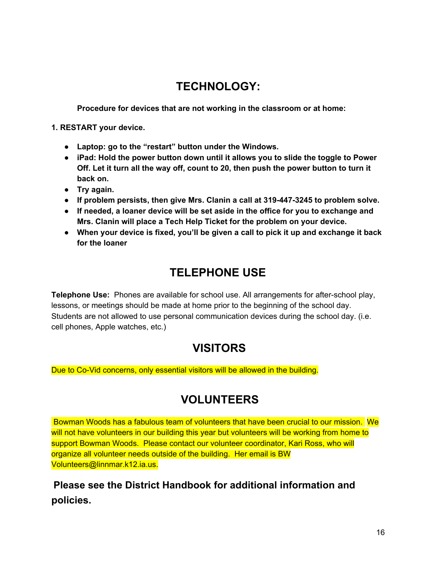## **TECHNOLOGY:**

**Procedure for devices that are not working in the classroom or at home:**

**1. RESTART your device.**

- **● Laptop: go to the "restart" button under the Windows.**
- **● iPad: Hold the power button down until it allows you to slide the toggle to Power Off. Let it turn all the way off, count to 20, then push the power button to turn it back on.**
- **● Try again.**
- **● If problem persists, then give Mrs. Clanin a call at 319-447-3245 to problem solve.**
- **● If needed, a loaner device will be set aside in the office for you to exchange and Mrs. Clanin will place a Tech Help Ticket for the problem on your device.**
- **● When your device is fixed, you'll be given a call to pick it up and exchange it back for the loaner**

## **TELEPHONE USE**

**Telephone Use:** Phones are available for school use. All arrangements for after-school play, lessons, or meetings should be made at home prior to the beginning of the school day. Students are not allowed to use personal communication devices during the school day. (i.e. cell phones, Apple watches, etc.)

## **VISITORS**

Due to Co-Vid concerns, only essential visitors will be allowed in the building.

## **VOLUNTEERS**

Bowman Woods has a fabulous team of volunteers that have been crucial to our mission. We will not have volunteers in our building this year but volunteers will be working from home to support Bowman Woods. Please contact our volunteer coordinator, Kari Ross, who will organize all volunteer needs outside of the building. Her email is BW Volunteers@linnmar.k12.ia.us.

**Please see the District Handbook for additional information and policies.**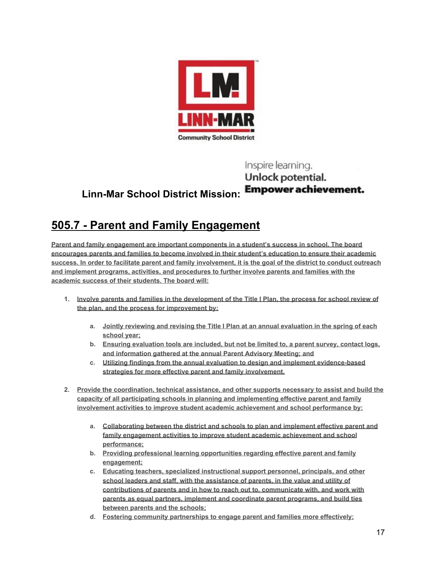

#### Inspire learning. Unlock potential. **Empower achievement. Linn-Mar School District Mission:**

## **505.7 - Parent and Family Engagement**

**Parent and family engagement are important components in a student's success in school. The board encourages parents and families to become involved in their student's education to ensure their academic success. In order to facilitate parent and family involvement, it is the goal of the district to conduct outreach and implement programs, activities, and procedures to further involve parents and families with the academic success of their students. The board will:**

- **1. Involve parents and families in the development of the Title I Plan, the process for school review of the plan, and the process for improvement by:**
	- **a. Jointly reviewing and revising the Title I Plan at an annual evaluation in the spring of each school year;**
	- **b. Ensuring evaluation tools are included, but not be limited to, a parent survey, contact logs, and information gathered at the annual Parent Advisory Meeting; and**
	- **c. Utilizing findings from the annual evaluation to design and implement evidence-based strategies for more effective parent and family involvement.**
- **2. Provide the coordination, technical assistance, and other supports necessary to assist and build the capacity of all participating schools in planning and implementing effective parent and family involvement activities to improve student academic achievement and school performance by:**
	- **a. Collaborating between the district and schools to plan and implement effective parent and family engagement activities to improve student academic achievement and school performance;**
	- **b. Providing professional learning opportunities regarding effective parent and family engagement;**
	- **c. Educating teachers, specialized instructional support personnel, principals, and other school leaders and staff, with the assistance of parents, in the value and utility of contributions of parents and in how to reach out to, communicate with, and work with parents as equal partners, implement and coordinate parent programs, and build ties between parents and the schools;**
	- **d. Fostering community partnerships to engage parent and families more effectively;**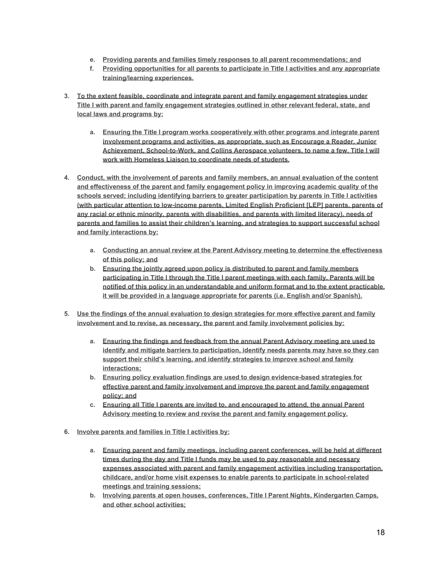- **e. Providing parents and families timely responses to all parent recommendations; and**
- **f. Providing opportunities for all parents to participate in Title I activities and any appropriate training/learning experiences.**
- **3. To the extent feasible, coordinate and integrate parent and family engagement strategies under Title I with parent and family engagement strategies outlined in other relevant federal, state, and local laws and programs by:**
	- **a. Ensuring the Title I program works cooperatively with other programs and integrate parent involvement programs and activities, as appropriate, such as Encourage a Reader, Junior Achievement, School-to-Work, and Collins Aerospace volunteers, to name a few. Title I will work with Homeless Liaison to coordinate needs of students.**
- **4. Conduct, with the involvement of parents and family members, an annual evaluation of the content and effectiveness of the parent and family engagement policy in improving academic quality of the schools served; including identifying barriers to greater participation by parents in Title I activities (with particular attention to low-income parents, Limited English Proficient [LEP] parents, parents of any racial or ethnic minority, parents with disabilities, and parents with limited literacy), needs of parents and families to assist their children's learning, and strategies to support successful school and family interactions by:**
	- **a. Conducting an annual review at the Parent Advisory meeting to determine the effectiveness of this policy; and**
	- **b. Ensuring the jointly agreed upon policy is distributed to parent and family members participating in Title I through the Title I parent meetings with each family. Parents will be notified of this policy in an understandable and uniform format and to the extent practicable, it will be provided in a language appropriate for parents (i.e. English and/or Spanish).**
- **5. Use the findings of the annual evaluation to design strategies for more effective parent and family involvement and to revise, as necessary, the parent and family involvement policies by:**
	- **a. Ensuring the findings and feedback from the annual Parent Advisory meeting are used to identify and mitigate barriers to participation, identify needs parents may have so they can support their child's learning, and identify strategies to improve school and family interactions;**
	- **b. Ensuring policy evaluation findings are used to design evidence-based strategies for effective parent and family involvement and improve the parent and family engagement policy; and**
	- **c. Ensuring all Title I parents are invited to, and encouraged to attend, the annual Parent Advisory meeting to review and revise the parent and family engagement policy.**
- **6. Involve parents and families in Title I activities by:**
	- **a. Ensuring parent and family meetings, including parent conferences, will be held at different times during the day and Title I funds may be used to pay reasonable and necessary expenses associated with parent and family engagement activities including transportation, childcare, and/or home visit expenses to enable parents to participate in school-related meetings and training sessions;**
	- **b. Involving parents at open houses, conferences, Title I Parent Nights, Kindergarten Camps, and other school activities;**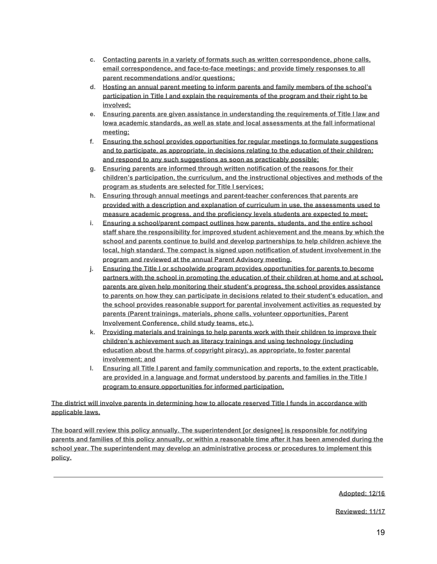- **c. Contacting parents in a variety of formats such as written correspondence, phone calls, email correspondence, and face-to-face meetings; and provide timely responses to all parent recommendations and/or questions;**
- **d. Hosting an annual parent meeting to inform parents and family members of the school's participation in Title I and explain the requirements of the program and their right to be involved;**
- **e. Ensuring parents are given assistance in understanding the requirements of Title I law and Iowa academic standards, as well as state and local assessments at the fall informational meeting;**
- **f. Ensuring the school provides opportunities for regular meetings to formulate suggestions and to participate, as appropriate, in decisions relating to the education of their children; and respond to any such suggestions as soon as practicably possible;**
- **g. Ensuring parents are informed through written notification of the reasons for their children's participation, the curriculum, and the instructional objectives and methods of the program as students are selected for Title I services;**
- **h. Ensuring through annual meetings and parent-teacher conferences that parents are provided with a description and explanation of curriculum in use, the assessments used to measure academic progress, and the proficiency levels students are expected to meet;**
- **i. Ensuring a school/parent compact outlines how parents, students, and the entire school staff share the responsibility for improved student achievement and the means by which the school and parents continue to build and develop partnerships to help children achieve the local, high standard. The compact is signed upon notification of student involvement in the program and reviewed at the annual Parent Advisory meeting.**
- **j. Ensuring the Title I or schoolwide program provides opportunities for parents to become partners with the school in promoting the education of their children at home and at school, parents are given help monitoring their student's progress, the school provides assistance to parents on how they can participate in decisions related to their student's education, and the school provides reasonable support for parental involvement activities as requested by parents (Parent trainings, materials, phone calls, volunteer opportunities, Parent Involvement Conference, child study teams, etc.).**
- **k. Providing materials and trainings to help parents work with their children to improve their children's achievement such as literacy trainings and using technology (including education about the harms of copyright piracy), as appropriate, to foster parental involvement; and**
- **l. Ensuring all Title I parent and family communication and reports, to the extent practicable, are provided in a language and format understood by parents and families in the Title I program to ensure opportunities for informed participation.**

**The district will involve parents in determining how to allocate reserved Title I funds in accordance with applicable laws.**

**The board will review this policy annually. The superintendent [or designee] is responsible for notifying parents and families of this policy annually, or within a reasonable time after it has been amended during the school year. The superintendent may develop an administrative process or procedures to implement this policy.**

**Adopted: 12/16**

**Reviewed: 11/17**